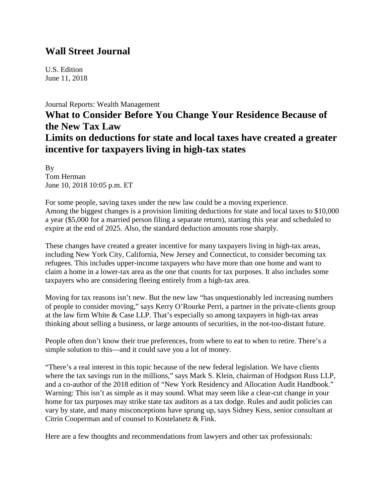## **Wall Street Journal**

U.S. Edition June 11, 2018

#### [Journal Reports: Wealth Management](https://www.wsj.com/news/types/journal-reports-wealth-management)

# **What to Consider Before You Change Your Residence Because of the New Tax Law Limits on deductions for state and local taxes have created a greater incentive for taxpayers living in high-tax states**

By Tom Herman June 10, 2018 10:05 p.m. ET

For some people, saving taxes under the new law could be a moving experience. Among the biggest changes is a provision limiting deductions for state and local taxes to \$10,000 a year (\$5,000 for a married person filing a separate return), starting this year and scheduled to expire at the end of 2025. Also, the standard deduction amounts rose sharply.

These changes have created a greater incentive for many taxpayers living in high-tax areas, including New York City, California, New Jersey and Connecticut, to consider becoming tax refugees. This includes upper-income taxpayers who have more than one home and want to claim a home in a lower-tax area as the one that counts for tax purposes. It also includes some taxpayers who are considering fleeing entirely from a high-tax area.

Moving for tax reasons isn't new. But the new law "has unquestionably led increasing numbers of people to consider moving," says Kerry O'Rourke Perri, a partner in the private-clients group at the law firm White & Case LLP. That's especially so among taxpayers in high-tax areas thinking about selling a business, or large amounts of securities, in the not-too-distant future.

People often don't know their true preferences, from where to eat to when to retire. There's a simple solution to this—and it could save you a lot of money.

"There's a real interest in this topic because of the new federal legislation. We have clients where the tax savings run in the millions," says Mark S. Klein, chairman of Hodgson Russ LLP, and a co-author of the 2018 edition of "New York Residency and Allocation Audit Handbook." Warning: This isn't as simple as it may sound. What may seem like a clear-cut change in your home for tax purposes may strike state tax auditors as a tax dodge. Rules and audit policies can vary by state, and many misconceptions have sprung up, says Sidney Kess, senior consultant at Citrin Cooperman and of counsel to Kostelanetz & Fink.

Here are a few thoughts and recommendations from lawyers and other tax professionals: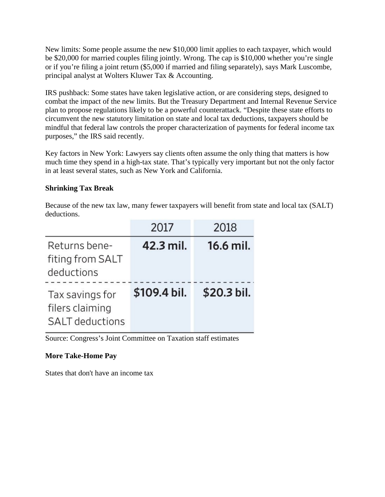New limits: Some people assume the new \$10,000 limit applies to each taxpayer, which would be \$20,000 for married couples filing jointly. Wrong. The cap is \$10,000 whether you're single or if you're filing a joint return (\$5,000 if married and filing separately), says Mark Luscombe, principal analyst at Wolters Kluwer Tax & Accounting.

IRS pushback: Some states have taken legislative action, or are considering steps, designed to combat the impact of the new limits. But the Treasury Department and Internal Revenue Service plan to propose regulations likely to be a powerful counterattack. "Despite these state efforts to circumvent the new statutory limitation on state and local tax deductions, taxpayers should be mindful that federal law controls the proper characterization of payments for federal income tax purposes," [the IRS said recently.](https://www.irs.gov/pub/irs-drop/n-18-54.pdf?mod=article_inline)

Key factors in New York: Lawyers say clients often assume the only thing that matters is how much time they spend in a high-tax state. That's typically very important but not the only factor in at least several states, such as New York and California.

### **Shrinking Tax Break**

Because of the new tax law, many fewer taxpayers will benefit from state and local tax (SALT) deductions.

|                                                              | 2017         | 2018        |
|--------------------------------------------------------------|--------------|-------------|
| Returns bene-<br>fiting from SALT<br>deductions              | 42.3 mil.    | 16.6 mil.   |
| Tax savings for<br>filers claiming<br><b>SALT</b> deductions | \$109.4 bil. | \$20.3 bil. |

Source: Congress's Joint Committee on Taxation staff estimates

#### **More Take-Home Pay**

States that don't have an income tax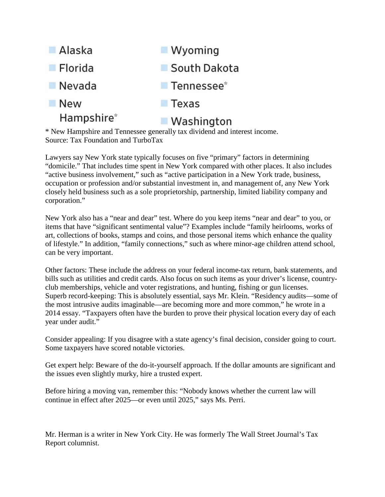

\* New Hampshire and Tennessee generally tax dividend and interest income. Source: Tax Foundation and TurboTax

Lawyers say New York state typically focuses on five "primary" factors in determining "domicile." That includes time spent in New York compared with other places. It also includes "active business involvement," such as "active participation in a New York trade, business, occupation or profession and/or substantial investment in, and management of, any New York closely held business such as a sole proprietorship, partnership, limited liability company and corporation."

New York also has a "near and dear" test. Where do you keep items "near and dear" to you, or items that have "significant sentimental value"? Examples include "family heirlooms, works of art, collections of books, stamps and coins, and those personal items which enhance the quality of lifestyle." In addition, "family connections," such as where minor-age children attend school, can be very important.

Other factors: These include the address on your federal income-tax return, bank statements, and bills such as utilities and credit cards. Also focus on such items as your driver's license, countryclub memberships, vehicle and voter registrations, and hunting, fishing or gun licenses. Superb record-keeping: This is absolutely essential, says Mr. Klein. "Residency audits—some of the most intrusive audits imaginable—are becoming more and more common," he wrote in a 2014 essay. "Taxpayers often have the burden to prove their physical location every day of each year under audit."

Consider appealing: If you disagree with a state agency's final decision, consider going to court. Some taxpayers have scored notable victories.

Get expert help: Beware of the do-it-yourself approach. If the dollar amounts are significant and the issues even slightly murky, hire a trusted expert.

Before hiring a moving van, remember this: "Nobody knows whether the current law will continue in effect after 2025—or even until 2025," says Ms. Perri.

Mr. Herman is a writer in New York City. He was formerly The Wall Street Journal's Tax Report columnist.